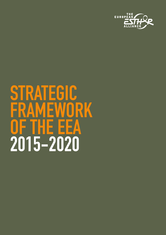

# **STRATEGIC AMEWORK OF THE EEA 2015-2020**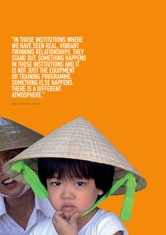"IN THOSE INSTITUTIONS WHERE<br>WE HAVE SEEN REAL, VIBRANT<br>TWINNING RELATIONSHIPS, THEY **HAPPENS T. SOMETHIN G**  $\mathbf{0}$ **DTT** S **UIP MENT** F PROGRAMME. G **SE HAPPENS.** IG **DIFFERENT IS A** ERE **MOSPHERE.** AT

Alliance member, Ireland

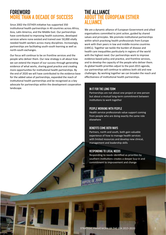### **FOREWORd MORE THAn A dECAdE OF SuCCESS**

Since 2002 the ESTHER initiative has supported 350 institutional health partnerships in 40 countries across Africa, Asia, Latin America, and the Middle East. Our partnerships have contributed to improving health outcomes, developed services where none existed and trained over 50,000 vitally needed health workers across many disciplines. Increasingly, partnerships are facilitating south-south learning as well as north-south exchanges.

Our focus will continue to be on frontline services and the people who deliver them. Our new strategy is all about how we can extend the impact of our success through generating evidence of what works, sharing good practice and creating more opportunities for institutional health partnerships. By the end of 2020 we will have contributed to the evidence base for the added value of partnerships, expanded the reach of institutional health partnerships and be recognised as a key advocate for partnerships within the development cooperation landscape.

### **THE AllIAnCE AbOuT THE EuROpEAn ESTHER AllIAnCE**

We are a dynamic alliance of European Government and allied organisations committed to joint action, guided by shared values and principles. We promote institutional partnerships within which practising health professionals from Europe work with their peers in low and middle-income countries (LMICs). Together we tackle the burden of disease and health care inequalities particularly in regions of the world with the highest need. Our partnerships work to improve evidence-based policy and practice, and frontline services, and to develop the capacity of the people who deliver them. As global health priorities adjust to the post-2015 agenda, our partnerships will continue to address both old and new challenges. By working together we can broaden the reach and effectiveness of institutional health partnerships.

#### **In IT FOR THE lOnG TERM**

Partnerships are not about one project or one person but about a mutual long-term commitment between institutions to work together

#### **pEOplE WORKInG WITH pEOplE**

Health service professionals value support coming from people who are doing exactly the same role elsewhere

#### **bEnEFITS COME bOTH WAyS**

Partners, north and south, both gain valuable experience of how to manage health services with limited resources and develop new clinical, management and leadership skills

#### **RESpOndInG TO lOCAl nEEdS**

Responding to needs identified as priorities by southern institutions creates a deeper buy-in and commitment to improvement and change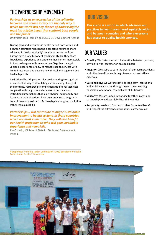# **THE pARTnERSHIp MOvEMEnT**

*Partnerships as an expression of the solidarity between and across society are the only way in which the world has any chance of addressing the most intractable issues that confront both people and the planet*

UN System Task Team on post-2015 UN Development Agenda

Glaring gaps and inequities in health persist both within and between countries highlighting a collective failure to share advances in health equitably<sup>1</sup>. Health professionals from Europe have a long history of working in LMICs; they share knowledge, experience and evidence that is often inaccessible to their colleagues in those countries. Together they gain valuable experience of how to manage health services with limited resources and develop new clinical, management and leadership skills.

Institutional health partnerships are increasingly recognised as an effective way of stimulating and sustaining change at the frontline. Partnerships complement traditional technical cooperation through the added value of personal and institutional interactions that allow sharing, adaptability and learning in both directions, built on mutual trust, long-term commitment and solidarity. Partnership is a long-term solution rather than a quick fix.

*Partnerships... will contribute to major sustainable improvement to health systems in those countries which are most vulnerable. They will also benefit our health professionals who will gain invaluable experience and new skills.*

Joe Costello, Minister of State for Trade and Development, Ireland

## **OuR vISIOn**

**Our vision is a world in which advances and practices in health are shared equitably within and between countries and where everyone has access to quality health services.**

### **OuR vAluES**

- **Equality:** We foster mutual collaboration between partners, striving to work together on an equal basis
- **Integrity:** We aspire to earn the trust of our partners, clients and other beneficiaries through transparent and ethical practices
- **Sustainability:** We work to develop long-term institutional and individual capacity through peer-to peer learning, education, operational research and skills transfer
- **Solidarity:** We are united in working together in genuine partnership to address global health inequities
- **Reciprocity:** We learn from each other for mutual benefit and respect the different contributions partners make

**<sup>1</sup>**Paraphrased from the Lancet Commission's 2010 Education of Health Professionals for the 21st century

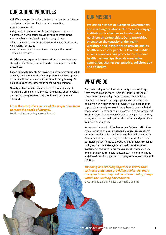# **OuR GuIdInG pRInCIplES**

**Aid Effectiveness:** We follow the Paris Declaration and Busan principles on effective development, promoting:

- country ownership
- alignment to national policies, strategies and systems
- partnership with national authorities and institutions
- sustainable institutional capacity strengthening
- harmonised external support towards a coherent response
- managing for results
- mutual accountability and transparency in the use of available resources

**Health Systems Approach:** We contribute to health systems strengthening through country partners to improve health outcomes.

**Capacity Development:** We provide a partnership approach to capacity development focusing on professional development of the health workforce and institutional strengthening. We build local capacity, rather than substituting personnel.

**Quality of Partnership:** We are guided by our Quality of Partnership principles and monitor the quality of our country partnership programmes to ensure these principles are followed.

### *From the start, the essence of the project has been to meet the needs of Burundi.*

Southern implementing partner, Burundi

### **OuR MISSIOn**

**We are an alliance of European Governments and allied organisations. Our members engage institutions in effective and sustainable north-south partnerships. Our partnerships strengthen the capacity of the health workforce and institutions to provide quality health services for people in low and middleincome countries. We promote institutional health partnerships through knowledge generation, sharing best practice, collaboration and advocacy.**

# **WHAT WE dO**

Our partnership model has the capacity to deliver longterm results beyond more traditional forms of technical cooperation. Partnerships provide access to practising health professionals building capacity in areas of service delivery often not prioritised by funders. This type of peer support is not easily accessed through traditional technical cooperation. These peer-to-peer partnerships are capable of inspiring institutions and individuals to change the way they work, improve the quality of service delivery and potentially influence health policy.

We support a variety of **Implementing Partner Institutions** who are guided by our **Partnership Quality Principles** that promote good practice; and who together deliver **Capacity Development** in a broad range of **Intervention Areas**. Our partnerships contribute to producing better evidence-based policy and practice, strengthened health workforce and institutions leading to improved quality of service delivery and ultimately better health outcomes. The commonalities and diversities of our partnership programmes are outlined in Figure 1.

*Twinning and working together is better than technical assistance providing advice. Partners are open to learning and can share a lot of things within the working environment.*

Government Official, Ministry of Health, Uganda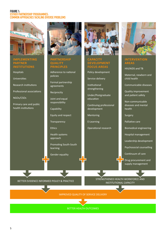#### **FIGuRE 1: ESTHER pARTnERSHIp pROGRAMMES: COMMOn AppROACHES TACKlInG dIvERSE pROblEMS**



#### **ImPlEmEntInG PARtnER InStItutIOnS**

Hospitals

Universities

Research institutions

Professional associations

NGOs/CSOs

Primary care and public health institutions



#### **PARtnERSHIP QuAlIty PRInCIPlES**

Adherence to national policies

Formal partnership agreements

Reciprocity

Joint and equal responsibility

**Capability** 

Equity and respect

**Transparency** 

**Ethics** 

Health systems approach

Promoting South-South learning

Gender equality



#### **CAPACIty DEvElOPmEnt FOCuS AREAS**

Policy development

Service delivery

Institutional strengthening

Under/Postgraduate education

Continuing professional development

Mentoring

E-Learning

Operational research



#### **IntERvEntIOn AREAS**

HIv/AIDS and TB

Maternal, newborn and child health

Communicable diseases

Quality improvement and patient safety

Non-communicable diseases and mental health

Surgery

Palliative care

Biomedical engineering

Hospital management

Leadership development

Psychosocial counselling

Continuum of care

Drug procurement and supply management

BETTER EVIDENCE INFORMED POLICY & PRACTICE STRENGTHENED HEALTH WORKFORCE AND INSTITUTIONAL CAPACITy

IMPROvED QUALITy OF SERvICE DELIvERy

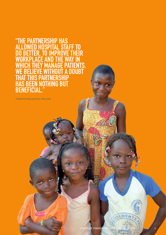"THE PARTNERSHIP HAS<br>ALLOWED HOSPITAL STAFF TO **BE TER T IMPRO VE THEIR** D Λ  $\boldsymbol{l}$ וסי **NAGE PATIENTS. IT A DOUBT** S **NOTHING BUT** B

Implementing partner, Burundi

 $\sqrt{2}$  agrical

48

SEMENTS

ø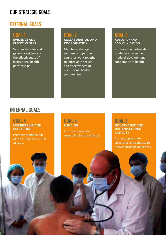### **OuR STRATEGIC GOAlS**

### **EXTERnAl GOAlS**

### **GOAl 1 EvIDEnCE AnD EFFECtIvEnESS**

Set standards for and generate evidence on the effectiveness of institutional health partnerships

### **GOAl 2 COllAbORAtIOn AnD COORDInAtIOn**

Members, strategic partners and partner countries work together to improve the reach and effectiveness of institutional health partnerships

### **GOAl 3 ADvOCACy AnD COmmunICAtIOn**

Promote the partnership model as an effective mode of development cooperation in health

### **InTERnAl GOAlS**

**GOAl 4 mEmbERSHIP AnD mARkEtInG**

Promote membership of the European ESTHER Alliance

7

### **GOAl 5 FunDInG**

Ensure appropriate resourcing for the Alliance

### **GOAl 6 GOvERnAnCE AnD ORGAnISAtIOnAl CAPACITY**

Ensure appropriate structures and capacity to deliver strategic objectives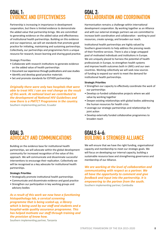### **GOAl 1: IDENCE AND EFFECTIVENESS**

Partnership is increasing in importance in development cooperation, but there is limited evidence to demonstrate the added value that partnership brings. We are committed to generating evidence on the added value and effectiveness of institutional health partnerships. Building on this evidence and our experience, we will set standards that promote good practice for initiating, maintaining and sustaining partnerships. Collectively, our partnerships and programmes form a unique resource for research, lesson learning and sharing good practice.

Strategic Priorities

- Collaborate with research institutions to generate evidence on the added value of health partnerships
- Document our experience through publications and case studies
- Identify and develop good practice materials
- Set and promote standards for ESTHER partnerships

*Originally there were only two hospitals that were able to treat HIV. I can see real change as the result of this work. At national level we contributed to the development of National HIV Guidelines and now there is a PMTCT Programme in the country.*

Southern implementing partner, Ecuador

### **GOAl 2: COllAbORATIOn And COORdInATIOn**

Harmonisation remains a challenge within international development cooperation. By working together as an Alliance and with our external strategic partners we are committed to increase both coordination and collaboration - working to pool resources, create synergy, and broaden our reach.

Institutional health partnerships are highly valued by Southern governments to help address the pressing needs of their frontline services. There is also a large untapped pool of motivated individuals and institutions in Europe. We are uniquely placed to harness the potential of health professionals in Europe, to strengthen health systems and improve health outcomes both in LMICs and our own countries. Working collectively we will seek new sources of funding to expand our work to meet the demand for institutional health partnerships.

#### **Strategic Priorities**

- Strengthen our capacity to effectively coordinate the work of our partnerships
- Develop co-funded collaborative projects where we add value by working together
- Deepen existing relationships with global bodies addressing the human resources for health crisis
- Leverage our strategic partnerships and relationships for joint action
- Develop externally funded collaborative programmes to broaden reach

### **GOAl 3: AdvOCACy And COMMunICATIOnS**

Building on the evidence base for institutional health partnerships, we will advocate within the global development community for increased recognition of the value of this approach. We will communicate and disseminate successful interventions to encourage their replication. Collectively we will be recognised as a key advocate for institutional health partnerships.

#### **Strategic Priorities**

- Strategically promote institutional health partnerships
- Communicate and disseminate evidence and good practice
- Strengthen our participation in key working groups and advisory bodies

*As a result of this work we now have a functioning histopathology lab, a cervical screening programme that is being scaled-up, a library which is being used by our staff and students and a hospital-wide quality assurance programme. This has helped motivate our staff through training and the provision of know how.*

### **GOAlS 4-6: BUILDING A STRONGER ALLIANCE**

We will ensure that we have the right funding, organisational capacity and membership to meet our strategic goals. We will focus on developing our internal capacity, building a sustainable resource base and strengthening governance and membership of our Alliance.

*We are working at the level of collaboration and communicating with respect as a partner. We all have the opportunity to comment and give feedback and input into the partnership. It is empowering to the partner from the south.*

Southern implementing partner, Cambodia

Southern implementing partner, Tanzania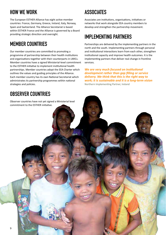# **HOW WE WORK**

The European ESTHER Alliance has eight active member countries: France, Germany, Greece, Ireland, Italy, Norway, Spain and Switzerland. The Alliance Secretariat is based within ESTHER France and the Alliance is governed by a Board providing strategic direction and oversight.

# **MEMbER COunTRIES**

Our member countries are committed to promoting a programme of partnership between their health institutions and organisations together with their counterparts in LMICs. Member countries have a signed Ministerial-level commitment to the ESTHER initiative to implement institutional health partnerships. Member countries adopt the EEA Charter which outlines the values and guiding principles of the Alliance. Each member country has its own National Secretariat which administrates its partnership programmes within national strategies and policies.

# **ObSERvER COunTRIES**

# **ASSOCIATES**

Associates are institutions, organisations, initiatives or networks that work alongside EEA country members to develop and strengthen the partnership movement.

# **IMPI FMENTING PARTNERS**

Partnerships are delivered by the implementing partners in the north and the south. Implementing partners through personal and institutional interactions learn from each other, strengthen institutional capacity and improve health outcomes. It is the implementing partners that deliver real change in frontline services.

*We are very much focused on institutional development rather than gap filling or service delivery. We think that this is the right way to work; it is sustainable and it is a long-term vision*  Northern Implementing Partner, Ireland

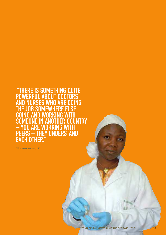"THERE IS SOMETHING QUITE<br>POWERFUL ABOUT DOCTORS<br>AND NURSES WHO ARE DOING PO S. R **SF UNTRY** G **UNDERSTAND OTHER.** CH EA

Alliance observer, UK